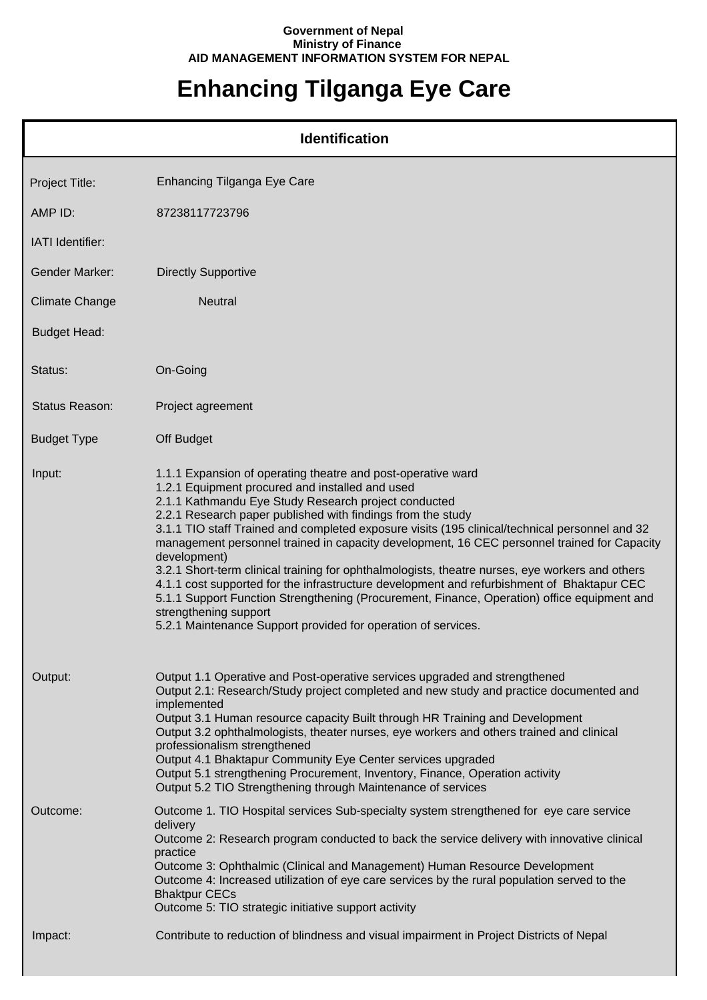## **Government of Nepal Ministry of Finance AID MANAGEMENT INFORMATION SYSTEM FOR NEPAL**

## **Enhancing Tilganga Eye Care**

| <b>Identification</b> |                                                                                                                                                                                                                                                                                                                                                                                                                                                                                                                                                                                                                                                                                                                                                                                                                                                   |  |  |
|-----------------------|---------------------------------------------------------------------------------------------------------------------------------------------------------------------------------------------------------------------------------------------------------------------------------------------------------------------------------------------------------------------------------------------------------------------------------------------------------------------------------------------------------------------------------------------------------------------------------------------------------------------------------------------------------------------------------------------------------------------------------------------------------------------------------------------------------------------------------------------------|--|--|
| Project Title:        | Enhancing Tilganga Eye Care                                                                                                                                                                                                                                                                                                                                                                                                                                                                                                                                                                                                                                                                                                                                                                                                                       |  |  |
| AMP ID:               | 87238117723796                                                                                                                                                                                                                                                                                                                                                                                                                                                                                                                                                                                                                                                                                                                                                                                                                                    |  |  |
| IATI Identifier:      |                                                                                                                                                                                                                                                                                                                                                                                                                                                                                                                                                                                                                                                                                                                                                                                                                                                   |  |  |
| <b>Gender Marker:</b> | <b>Directly Supportive</b>                                                                                                                                                                                                                                                                                                                                                                                                                                                                                                                                                                                                                                                                                                                                                                                                                        |  |  |
| <b>Climate Change</b> | <b>Neutral</b>                                                                                                                                                                                                                                                                                                                                                                                                                                                                                                                                                                                                                                                                                                                                                                                                                                    |  |  |
| <b>Budget Head:</b>   |                                                                                                                                                                                                                                                                                                                                                                                                                                                                                                                                                                                                                                                                                                                                                                                                                                                   |  |  |
| Status:               | On-Going                                                                                                                                                                                                                                                                                                                                                                                                                                                                                                                                                                                                                                                                                                                                                                                                                                          |  |  |
| <b>Status Reason:</b> | Project agreement                                                                                                                                                                                                                                                                                                                                                                                                                                                                                                                                                                                                                                                                                                                                                                                                                                 |  |  |
| <b>Budget Type</b>    | Off Budget                                                                                                                                                                                                                                                                                                                                                                                                                                                                                                                                                                                                                                                                                                                                                                                                                                        |  |  |
| Input:                | 1.1.1 Expansion of operating theatre and post-operative ward<br>1.2.1 Equipment procured and installed and used<br>2.1.1 Kathmandu Eye Study Research project conducted<br>2.2.1 Research paper published with findings from the study<br>3.1.1 TIO staff Trained and completed exposure visits (195 clinical/technical personnel and 32<br>management personnel trained in capacity development, 16 CEC personnel trained for Capacity<br>development)<br>3.2.1 Short-term clinical training for ophthalmologists, theatre nurses, eye workers and others<br>4.1.1 cost supported for the infrastructure development and refurbishment of Bhaktapur CEC<br>5.1.1 Support Function Strengthening (Procurement, Finance, Operation) office equipment and<br>strengthening support<br>5.2.1 Maintenance Support provided for operation of services. |  |  |
| Output:               | Output 1.1 Operative and Post-operative services upgraded and strengthened<br>Output 2.1: Research/Study project completed and new study and practice documented and<br>implemented<br>Output 3.1 Human resource capacity Built through HR Training and Development<br>Output 3.2 ophthalmologists, theater nurses, eye workers and others trained and clinical<br>professionalism strengthened<br>Output 4.1 Bhaktapur Community Eye Center services upgraded<br>Output 5.1 strengthening Procurement, Inventory, Finance, Operation activity<br>Output 5.2 TIO Strengthening through Maintenance of services                                                                                                                                                                                                                                    |  |  |
| Outcome:              | Outcome 1. TIO Hospital services Sub-specialty system strengthened for eye care service<br>delivery<br>Outcome 2: Research program conducted to back the service delivery with innovative clinical<br>practice<br>Outcome 3: Ophthalmic (Clinical and Management) Human Resource Development<br>Outcome 4: Increased utilization of eye care services by the rural population served to the<br><b>Bhaktpur CECs</b><br>Outcome 5: TIO strategic initiative support activity                                                                                                                                                                                                                                                                                                                                                                       |  |  |
| Impact:               | Contribute to reduction of blindness and visual impairment in Project Districts of Nepal                                                                                                                                                                                                                                                                                                                                                                                                                                                                                                                                                                                                                                                                                                                                                          |  |  |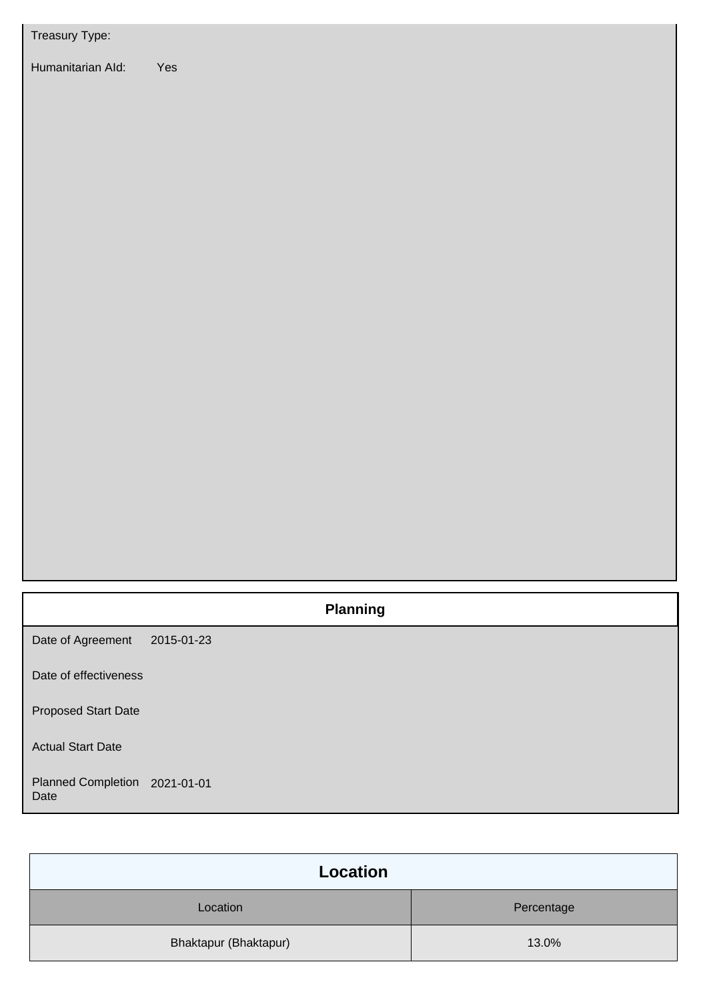| Treasury Type:                        |                 |
|---------------------------------------|-----------------|
| Humanitarian Ald:                     | Yes             |
|                                       |                 |
|                                       | <b>Planning</b> |
| Date of Agreement                     | 2015-01-23      |
| Date of effectiveness                 |                 |
| Proposed Start Date                   |                 |
| <b>Actual Start Date</b>              |                 |
| Planned Completion 2021-01-01<br>Date |                 |

| Location              |            |  |
|-----------------------|------------|--|
| Location              | Percentage |  |
| Bhaktapur (Bhaktapur) | 13.0%      |  |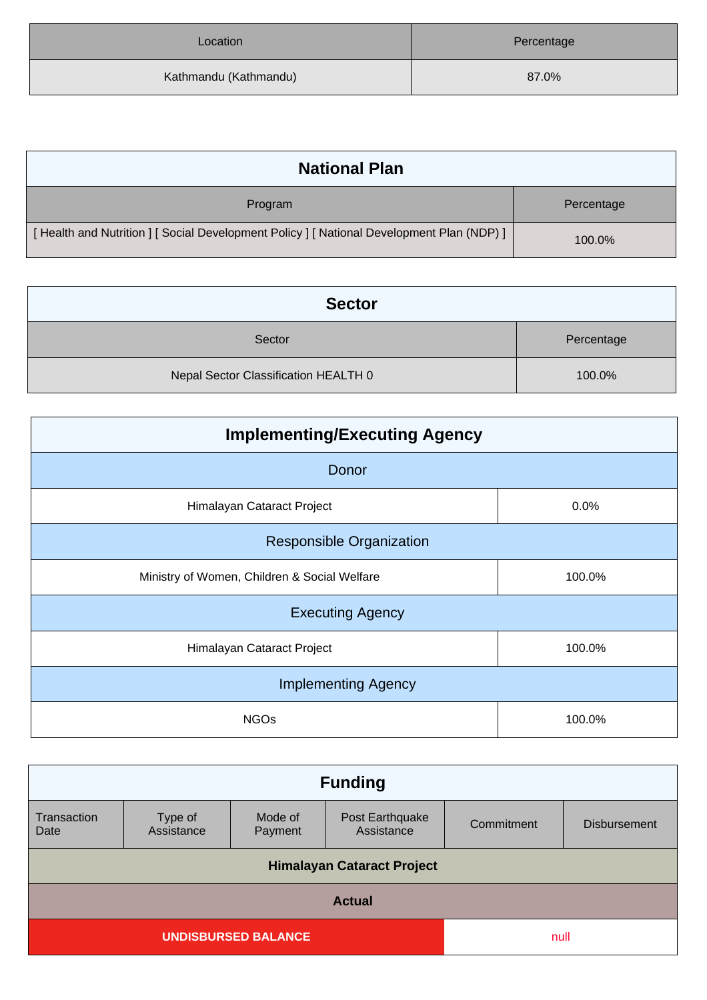| Location              | Percentage |
|-----------------------|------------|
| Kathmandu (Kathmandu) | 87.0%      |

| <b>National Plan</b>                                                                      |            |
|-------------------------------------------------------------------------------------------|------------|
| Program                                                                                   | Percentage |
| [Health and Nutrition ] [ Social Development Policy ] [ National Development Plan (NDP) ] | 100.0%     |

| <b>Sector</b>                        |            |
|--------------------------------------|------------|
| Sector                               | Percentage |
| Nepal Sector Classification HEALTH 0 | 100.0%     |

| <b>Implementing/Executing Agency</b>         |        |  |  |
|----------------------------------------------|--------|--|--|
| Donor                                        |        |  |  |
| Himalayan Cataract Project                   | 0.0%   |  |  |
| <b>Responsible Organization</b>              |        |  |  |
| Ministry of Women, Children & Social Welfare | 100.0% |  |  |
| <b>Executing Agency</b>                      |        |  |  |
| Himalayan Cataract Project                   | 100.0% |  |  |
| <b>Implementing Agency</b>                   |        |  |  |
| <b>NGOs</b>                                  | 100.0% |  |  |

| <b>Funding</b>                     |                       |                    |                               |            |                     |
|------------------------------------|-----------------------|--------------------|-------------------------------|------------|---------------------|
| Transaction<br>Date                | Type of<br>Assistance | Mode of<br>Payment | Post Earthquake<br>Assistance | Commitment | <b>Disbursement</b> |
| <b>Himalayan Cataract Project</b>  |                       |                    |                               |            |                     |
| <b>Actual</b>                      |                       |                    |                               |            |                     |
| <b>UNDISBURSED BALANCE</b><br>null |                       |                    |                               |            |                     |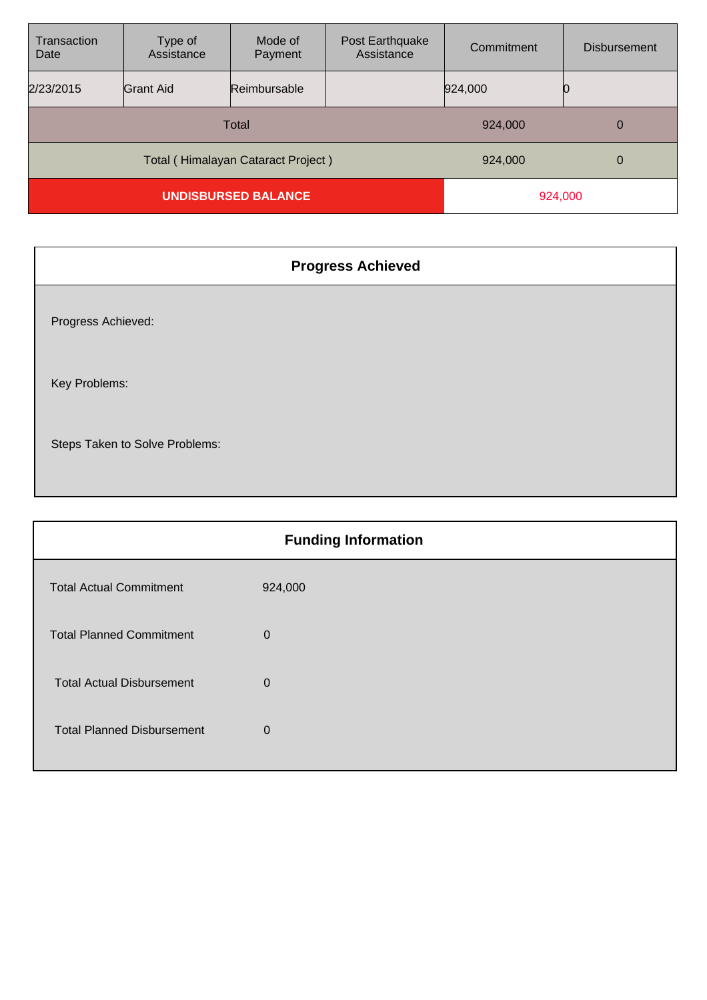| Transaction<br>Date                | Type of<br>Assistance | Mode of<br>Payment | Post Earthquake<br>Assistance | Commitment | <b>Disbursement</b> |
|------------------------------------|-----------------------|--------------------|-------------------------------|------------|---------------------|
| 2/23/2015                          | <b>Grant Aid</b>      | Reimbursable       |                               | 924,000    |                     |
| Total                              |                       |                    | 924,000                       | 0          |                     |
| Total (Himalayan Cataract Project) |                       |                    | 924,000                       | 0          |                     |
| <b>UNDISBURSED BALANCE</b>         |                       |                    | 924,000                       |            |                     |

| <b>Progress Achieved</b>       |
|--------------------------------|
| Progress Achieved:             |
| Key Problems:                  |
| Steps Taken to Solve Problems: |

| <b>Funding Information</b>        |                |  |
|-----------------------------------|----------------|--|
| <b>Total Actual Commitment</b>    | 924,000        |  |
| <b>Total Planned Commitment</b>   | $\mathbf 0$    |  |
| <b>Total Actual Disbursement</b>  | $\overline{0}$ |  |
| <b>Total Planned Disbursement</b> | 0              |  |
|                                   |                |  |